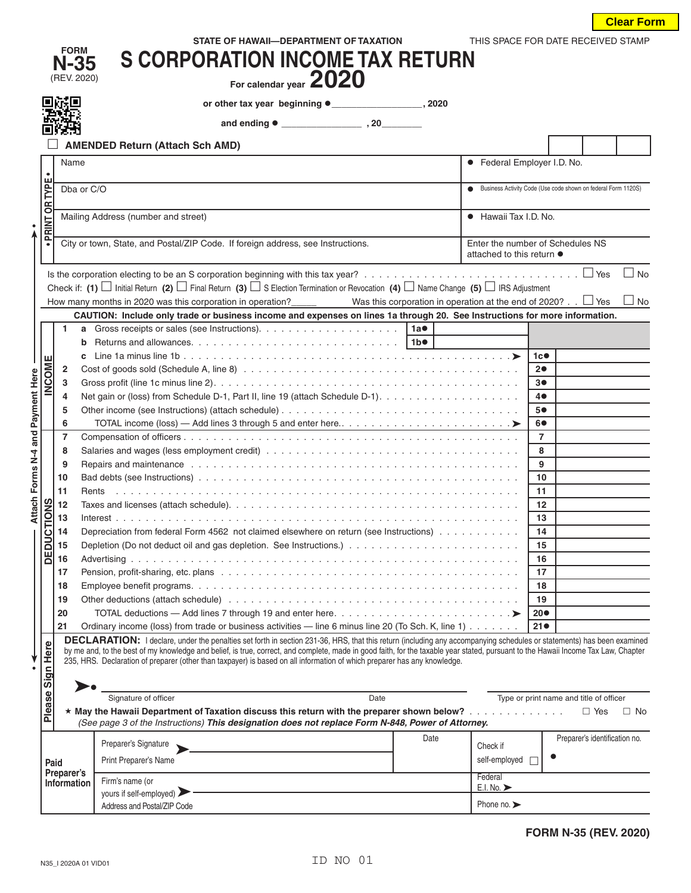| STATE OF HAWAII-DEPARTMENT OF TAXATION | THIS SPACE FOR DATE RECEIVED STAMP |
|----------------------------------------|------------------------------------|

|                                   | <b>FORM</b><br>$N-35$<br>(REV. 2020) | <b>S CORPORATION INCOME TAX RETURN</b>                                                                                                                                                                                                                                                                                                                                                                                                                                    |                                 |                                                               |                               |                        |
|-----------------------------------|--------------------------------------|---------------------------------------------------------------------------------------------------------------------------------------------------------------------------------------------------------------------------------------------------------------------------------------------------------------------------------------------------------------------------------------------------------------------------------------------------------------------------|---------------------------------|---------------------------------------------------------------|-------------------------------|------------------------|
|                                   |                                      | For calendar year 2020                                                                                                                                                                                                                                                                                                                                                                                                                                                    |                                 |                                                               |                               |                        |
|                                   |                                      |                                                                                                                                                                                                                                                                                                                                                                                                                                                                           |                                 |                                                               |                               |                        |
|                                   |                                      |                                                                                                                                                                                                                                                                                                                                                                                                                                                                           |                                 |                                                               |                               |                        |
|                                   |                                      | <b>AMENDED Return (Attach Sch AMD)</b>                                                                                                                                                                                                                                                                                                                                                                                                                                    |                                 |                                                               |                               |                        |
|                                   | Name                                 |                                                                                                                                                                                                                                                                                                                                                                                                                                                                           | • Federal Employer I.D. No.     |                                                               |                               |                        |
|                                   |                                      |                                                                                                                                                                                                                                                                                                                                                                                                                                                                           |                                 |                                                               |                               |                        |
| OR TYPE                           | Dba or C/O                           |                                                                                                                                                                                                                                                                                                                                                                                                                                                                           |                                 | Business Activity Code (Use code shown on federal Form 1120S) |                               |                        |
|                                   |                                      |                                                                                                                                                                                                                                                                                                                                                                                                                                                                           |                                 |                                                               |                               |                        |
| PRINT <sup></sup>                 |                                      | Mailing Address (number and street)                                                                                                                                                                                                                                                                                                                                                                                                                                       | • Hawaii Tax I.D. No.           |                                                               |                               |                        |
| $\bullet$                         |                                      | City or town, State, and Postal/ZIP Code. If foreign address, see Instructions.<br>Enter the number of Schedules NS                                                                                                                                                                                                                                                                                                                                                       |                                 |                                                               |                               |                        |
|                                   |                                      |                                                                                                                                                                                                                                                                                                                                                                                                                                                                           | attached to this return ●       |                                                               |                               |                        |
|                                   |                                      | Check if: (1) $\Box$ Initial Return (2) $\Box$ Final Return (3) $\Box$ S Election Termination or Revocation (4) $\Box$ Name Change (5) $\Box$ IRS Adjustment<br>Was this corporation in operation at the end of 2020? $\ldots$ $\Box$ Yes<br>How many months in 2020 was this corporation in operation?                                                                                                                                                                   |                                 |                                                               |                               | $\Box$ No<br>$\Box$ No |
|                                   |                                      | CAUTION: Include only trade or business income and expenses on lines 1a through 20. See Instructions for more information.                                                                                                                                                                                                                                                                                                                                                |                                 |                                                               |                               |                        |
|                                   | b                                    | 1 <sub>b</sub>                                                                                                                                                                                                                                                                                                                                                                                                                                                            |                                 |                                                               |                               |                        |
|                                   |                                      |                                                                                                                                                                                                                                                                                                                                                                                                                                                                           |                                 | 1c                                                            |                               |                        |
| INCOME                            | 2                                    |                                                                                                                                                                                                                                                                                                                                                                                                                                                                           |                                 | 20                                                            |                               |                        |
|                                   | 3                                    |                                                                                                                                                                                                                                                                                                                                                                                                                                                                           |                                 | 3●                                                            |                               |                        |
|                                   | 4                                    | Net gain or (loss) from Schedule D-1, Part II, line 19 (attach Schedule D-1).                                                                                                                                                                                                                                                                                                                                                                                             |                                 | 4●                                                            |                               |                        |
|                                   | 5                                    |                                                                                                                                                                                                                                                                                                                                                                                                                                                                           |                                 | 5●                                                            |                               |                        |
|                                   | 6                                    |                                                                                                                                                                                                                                                                                                                                                                                                                                                                           |                                 | 6●                                                            |                               |                        |
| Attach Forms N-4 and Payment Here | $\overline{7}$                       |                                                                                                                                                                                                                                                                                                                                                                                                                                                                           |                                 | $\overline{7}$<br>8                                           |                               |                        |
|                                   | 8<br>9                               |                                                                                                                                                                                                                                                                                                                                                                                                                                                                           |                                 | 9                                                             |                               |                        |
|                                   | 10                                   |                                                                                                                                                                                                                                                                                                                                                                                                                                                                           |                                 | 10                                                            |                               |                        |
|                                   | 11                                   |                                                                                                                                                                                                                                                                                                                                                                                                                                                                           |                                 | 11                                                            |                               |                        |
|                                   | 12                                   |                                                                                                                                                                                                                                                                                                                                                                                                                                                                           |                                 | 12                                                            |                               |                        |
| <b>DUCTIONS</b>                   | 13                                   |                                                                                                                                                                                                                                                                                                                                                                                                                                                                           |                                 | 13                                                            |                               |                        |
|                                   | 14                                   | Depreciation from federal Form 4562 not claimed elsewhere on return (see Instructions)                                                                                                                                                                                                                                                                                                                                                                                    |                                 | 14                                                            |                               |                        |
|                                   | 15                                   |                                                                                                                                                                                                                                                                                                                                                                                                                                                                           |                                 | 15                                                            |                               |                        |
| ΡE                                | 16                                   |                                                                                                                                                                                                                                                                                                                                                                                                                                                                           |                                 | 16                                                            |                               |                        |
|                                   | 17                                   |                                                                                                                                                                                                                                                                                                                                                                                                                                                                           |                                 | 17                                                            |                               |                        |
|                                   | 18                                   |                                                                                                                                                                                                                                                                                                                                                                                                                                                                           |                                 | 18                                                            |                               |                        |
|                                   | 19                                   | Other deductions (attach schedule) (and account of the contract of the contract of the contract of the contract of the contract of the contract of the contract of the contract of the contract of the contract of the contrac                                                                                                                                                                                                                                            |                                 | 19                                                            |                               |                        |
|                                   | 20<br>21                             |                                                                                                                                                                                                                                                                                                                                                                                                                                                                           |                                 | $20\bullet$                                                   |                               |                        |
|                                   |                                      | Ordinary income (loss) from trade or business activities — line 6 minus line 20 (To Sch. K, line 1)<br><b>DECLARATION:</b> I declare, under the penalties set forth in section 231-36, HRS, that this return (including any accompanying schedules or statements) has been examined<br>by me and, to the best of my knowledge and belief, is true, correct, and complete, made in good faith, for the taxable year stated, pursuant to the Hawaii Income Tax Law, Chapter |                                 | $21\bullet$                                                   |                               |                        |
| Please Sign Here                  |                                      | 235, HRS. Declaration of preparer (other than taxpayer) is based on all information of which preparer has any knowledge.<br>Signature of officer                                                                                                                                                                                                                                                                                                                          |                                 |                                                               |                               |                        |
|                                   |                                      | Date<br>$\star$ May the Hawaii Department of Taxation discuss this return with the preparer shown below?<br>(See page 3 of the Instructions) This designation does not replace Form N-848, Power of Attorney.                                                                                                                                                                                                                                                             |                                 | Type or print name and title of officer                       | $\Box$ Yes                    | $\Box$ No              |
|                                   |                                      | Date<br>Preparer's Signature                                                                                                                                                                                                                                                                                                                                                                                                                                              | Check if                        |                                                               | Preparer's identification no. |                        |
|                                   | Paid                                 | Print Preparer's Name                                                                                                                                                                                                                                                                                                                                                                                                                                                     | self-employed $\Box$            |                                                               |                               |                        |
|                                   | Preparer's                           |                                                                                                                                                                                                                                                                                                                                                                                                                                                                           | Federal                         |                                                               |                               |                        |
|                                   | Information                          | Firm's name (or<br>yours if self-employed)                                                                                                                                                                                                                                                                                                                                                                                                                                | E.I. No.                        |                                                               |                               |                        |
|                                   |                                      | Address and Postal/ZIP Code                                                                                                                                                                                                                                                                                                                                                                                                                                               | Phone no. $\blacktriangleright$ |                                                               |                               |                        |
|                                   |                                      |                                                                                                                                                                                                                                                                                                                                                                                                                                                                           |                                 |                                                               |                               |                        |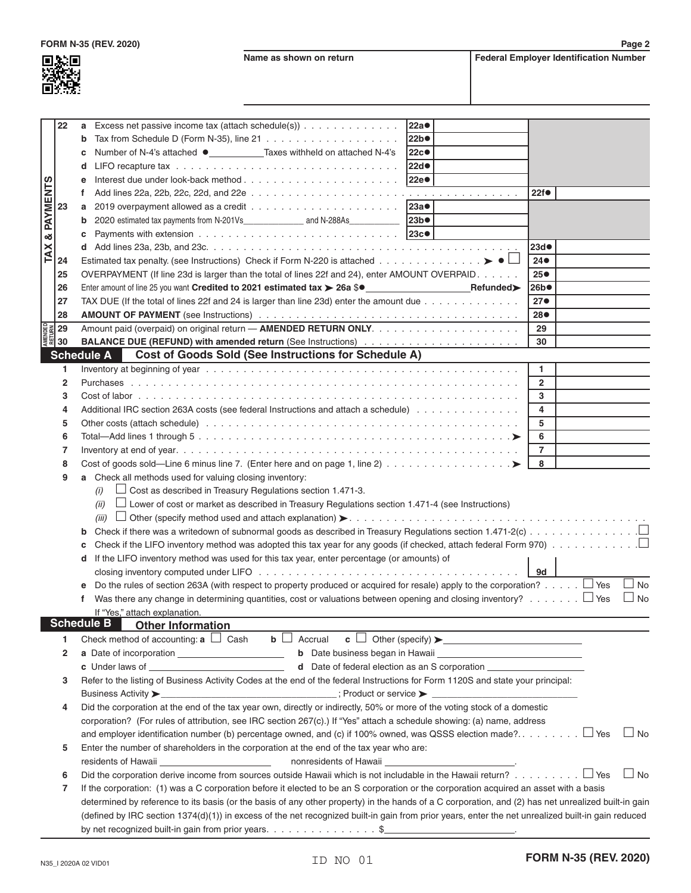**Name as shown on return Federal Employer Identification Number** 

| LЭ.<br>ı  |
|-----------|
| ÷<br>L    |
| - 1<br>Œ, |

|                 | 22                                                            | Excess net passive income tax (attach schedule(s))<br>a                                                                                                                                                                        | 22a                                                                              |                 |
|-----------------|---------------------------------------------------------------|--------------------------------------------------------------------------------------------------------------------------------------------------------------------------------------------------------------------------------|----------------------------------------------------------------------------------|-----------------|
|                 |                                                               | b                                                                                                                                                                                                                              | 22b                                                                              |                 |
|                 |                                                               | Number of N-4's attached ● _____________Taxes withheld on attached N-4's<br>c                                                                                                                                                  | <b>22c●</b>                                                                      |                 |
|                 |                                                               | d                                                                                                                                                                                                                              | 22d                                                                              |                 |
|                 |                                                               | е                                                                                                                                                                                                                              | 22e <sup>®</sup>                                                                 |                 |
| <b>PAYMENTS</b> |                                                               | f                                                                                                                                                                                                                              |                                                                                  | 22f             |
|                 | 23                                                            | a                                                                                                                                                                                                                              | 23a                                                                              |                 |
|                 |                                                               | b                                                                                                                                                                                                                              | 23b                                                                              |                 |
| ઌ               |                                                               | c                                                                                                                                                                                                                              | 23c                                                                              |                 |
|                 |                                                               |                                                                                                                                                                                                                                |                                                                                  | 23d             |
| TAX             | 24                                                            | Estimated tax penalty. (see Instructions) Check if Form N-220 is attached $\blacktriangleright\blacktriangleright\blacktriangleleft\Box$                                                                                       |                                                                                  | $24\bullet$     |
|                 | 25                                                            | OVERPAYMENT (If line 23d is larger than the total of lines 22f and 24), enter AMOUNT OVERPAID.                                                                                                                                 |                                                                                  | 25 <sub>•</sub> |
|                 | 26                                                            | Enter amount of line 25 you want Credited to 2021 estimated tax > 26a \$ <sup>o</sup>                                                                                                                                          |                                                                                  | 26b             |
|                 | 27                                                            | TAX DUE (If the total of lines 22f and 24 is larger than line 23d) enter the amount due                                                                                                                                        |                                                                                  | 27 <sub>•</sub> |
|                 | 28                                                            |                                                                                                                                                                                                                                |                                                                                  | 28●             |
|                 |                                                               |                                                                                                                                                                                                                                |                                                                                  | 29              |
|                 | <b>DREADER</b><br><b>RETURN</b><br><b>RETURN</b><br><b>30</b> |                                                                                                                                                                                                                                |                                                                                  | 30              |
|                 |                                                               | <b>Cost of Goods Sold (See Instructions for Schedule A)</b><br><b>Schedule A</b>                                                                                                                                               |                                                                                  |                 |
|                 |                                                               |                                                                                                                                                                                                                                |                                                                                  |                 |
|                 | 1                                                             |                                                                                                                                                                                                                                |                                                                                  | $\mathbf{1}$    |
|                 | $\mathbf{2}$                                                  |                                                                                                                                                                                                                                |                                                                                  | $\overline{2}$  |
|                 | 3                                                             |                                                                                                                                                                                                                                |                                                                                  | 3               |
|                 | 4                                                             | Additional IRC section 263A costs (see federal Instructions and attach a schedule)                                                                                                                                             |                                                                                  | 4               |
|                 | 5                                                             |                                                                                                                                                                                                                                |                                                                                  | 5               |
|                 | 6                                                             |                                                                                                                                                                                                                                |                                                                                  | 6               |
|                 | 7                                                             |                                                                                                                                                                                                                                |                                                                                  | $\overline{7}$  |
|                 | 8                                                             |                                                                                                                                                                                                                                |                                                                                  | 8               |
|                 | 9                                                             | a Check all methods used for valuing closing inventory:                                                                                                                                                                        |                                                                                  |                 |
|                 |                                                               | $\Box$ Cost as described in Treasury Regulations section 1.471-3.<br>(i)                                                                                                                                                       |                                                                                  |                 |
|                 |                                                               | $\Box$ Lower of cost or market as described in Treasury Regulations section 1.471-4 (see Instructions)<br>(ii)                                                                                                                 |                                                                                  |                 |
|                 |                                                               | (iii)                                                                                                                                                                                                                          |                                                                                  |                 |
|                 |                                                               | b                                                                                                                                                                                                                              |                                                                                  |                 |
|                 |                                                               | Check if the LIFO inventory method was adopted this tax year for any goods (if checked, attach federal Form 970) $\ldots \ldots \ldots \ldots$<br>c                                                                            |                                                                                  |                 |
|                 |                                                               | If the LIFO inventory method was used for this tax year, enter percentage (or amounts) of<br>d                                                                                                                                 |                                                                                  |                 |
|                 |                                                               | closing inventory computed under LIFO by and account of the content of the content of the content of the content of the content of the content of the content of the content of the content of the content of the content of t |                                                                                  | 9d              |
|                 |                                                               | Do the rules of section 263A (with respect to property produced or acquired for resale) apply to the corporation? $\Box$ Yes                                                                                                   |                                                                                  | $\Box$ No       |
|                 |                                                               | Was there any change in determining quantities, cost or valuations between opening and closing inventory? $\Box$ Yes                                                                                                           |                                                                                  | $\Box$ No       |
|                 |                                                               | If "Yes," attach explanation.                                                                                                                                                                                                  |                                                                                  |                 |
|                 |                                                               | <b>Schedule B</b><br><b>Other Information</b>                                                                                                                                                                                  |                                                                                  |                 |
|                 | 1                                                             | Check method of accounting: $a \Box$ Cash<br><b>b</b> $\Box$ Accrual <b>c</b> $\Box$ Other (specify) $\triangleright$                                                                                                          |                                                                                  |                 |
|                 | $\overline{2}$                                                |                                                                                                                                                                                                                                |                                                                                  |                 |
|                 |                                                               |                                                                                                                                                                                                                                | d Date of federal election as an S corporation _________________________________ |                 |
|                 | 3                                                             | Refer to the listing of Business Activity Codes at the end of the federal Instructions for Form 1120S and state your principal:                                                                                                |                                                                                  |                 |
|                 |                                                               |                                                                                                                                                                                                                                |                                                                                  |                 |
|                 | 4                                                             | Did the corporation at the end of the tax year own, directly or indirectly, 50% or more of the voting stock of a domestic                                                                                                      |                                                                                  |                 |
|                 |                                                               | corporation? (For rules of attribution, see IRC section 267(c).) If "Yes" attach a schedule showing: (a) name, address                                                                                                         |                                                                                  |                 |
|                 |                                                               |                                                                                                                                                                                                                                |                                                                                  | $\Box$ No       |
|                 |                                                               |                                                                                                                                                                                                                                |                                                                                  |                 |
|                 | 5                                                             | Enter the number of shareholders in the corporation at the end of the tax year who are:                                                                                                                                        |                                                                                  |                 |
|                 |                                                               | residents of Hawaii ___________________________<br>nonresidents of Hawaii                                                                                                                                                      |                                                                                  |                 |
|                 | 6                                                             | Did the corporation derive income from sources outside Hawaii which is not includable in the Hawaii return? $\Box$ Yes                                                                                                         |                                                                                  | $\Box$ No       |
|                 | 7                                                             | If the corporation: (1) was a C corporation before it elected to be an S corporation or the corporation acquired an asset with a basis                                                                                         |                                                                                  |                 |
|                 |                                                               | determined by reference to its basis (or the basis of any other property) in the hands of a C corporation, and (2) has net unrealized built-in gain                                                                            |                                                                                  |                 |
|                 |                                                               | (defined by IRC section 1374(d)(1)) in excess of the net recognized built-in gain from prior years, enter the net unrealized built-in gain reduced                                                                             |                                                                                  |                 |
|                 |                                                               | by net recognized built-in gain from prior years. $\ldots \ldots \ldots \ldots \ldots$ \$                                                                                                                                      |                                                                                  |                 |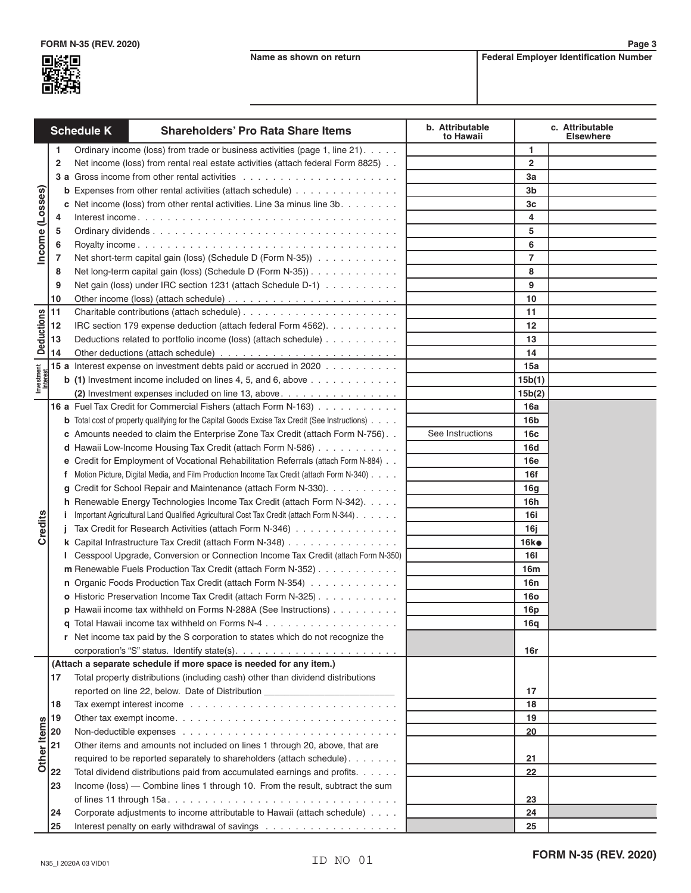

**Page 3**

|                        |              | <b>Schedule K</b> | <b>Shareholders' Pro Rata Share Items</b>                                                             | b. Attributable<br>to Hawaii |                 | c. Attributable<br><b>Elsewhere</b> |
|------------------------|--------------|-------------------|-------------------------------------------------------------------------------------------------------|------------------------------|-----------------|-------------------------------------|
| Income (Losses)        | $\mathbf{1}$ |                   | Ordinary income (loss) from trade or business activities (page 1, line 21).                           |                              | -1              |                                     |
|                        | $\mathbf{2}$ |                   | Net income (loss) from rental real estate activities (attach federal Form 8825)                       |                              | $\mathbf{2}$    |                                     |
|                        |              |                   |                                                                                                       |                              | За              |                                     |
|                        |              |                   | <b>b</b> Expenses from other rental activities (attach schedule)                                      |                              | 3b              |                                     |
|                        |              |                   | c Net income (loss) from other rental activities. Line 3a minus line 3b.                              |                              | 3c              |                                     |
|                        | 4            |                   |                                                                                                       |                              | 4               |                                     |
|                        | 5            |                   |                                                                                                       |                              | 5               |                                     |
|                        | 6            |                   |                                                                                                       |                              | 6               |                                     |
|                        | 7            |                   | Net short-term capital gain (loss) (Schedule D (Form N-35))                                           |                              | 7               |                                     |
|                        | 8            |                   | Net long-term capital gain (loss) (Schedule D (Form N-35))                                            |                              | 8               |                                     |
|                        | 9            |                   | Net gain (loss) under IRC section 1231 (attach Schedule D-1)                                          |                              | 9               |                                     |
|                        | 10           |                   |                                                                                                       |                              | 10              |                                     |
| <b>Deductions</b>      | 11           |                   |                                                                                                       |                              | 11              |                                     |
|                        | 12           |                   | IRC section 179 expense deduction (attach federal Form 4562).                                         |                              | 12              |                                     |
|                        | 13           |                   | Deductions related to portfolio income (loss) (attach schedule)                                       |                              | 13              |                                     |
|                        | 14           |                   |                                                                                                       |                              | 14              |                                     |
|                        |              |                   | 15 a Interest expense on investment debts paid or accrued in 2020                                     |                              | 15a             |                                     |
| Investment<br>Interest |              |                   | <b>b</b> (1) Investment income included on lines 4, 5, and 6, above $\ldots \ldots \ldots \ldots$     |                              | 15b(1)          |                                     |
|                        |              |                   | (2) Investment expenses included on line 13, above.                                                   |                              | 15b(2)          |                                     |
|                        |              |                   | 16 a Fuel Tax Credit for Commercial Fishers (attach Form N-163)                                       |                              | 16a             |                                     |
|                        |              |                   | <b>b</b> Total cost of property qualifying for the Capital Goods Excise Tax Credit (See Instructions) |                              | 16b             |                                     |
|                        |              |                   | c Amounts needed to claim the Enterprise Zone Tax Credit (attach Form N-756)                          | See Instructions             | 16c             |                                     |
|                        |              |                   | d Hawaii Low-Income Housing Tax Credit (attach Form N-586)                                            |                              | 16d             |                                     |
|                        |              |                   | e Credit for Employment of Vocational Rehabilitation Referrals (attach Form N-884)                    |                              | <b>16e</b>      |                                     |
|                        |              |                   | f Motion Picture, Digital Media, and Film Production Income Tax Credit (attach Form N-340)            |                              | 16f             |                                     |
|                        | g            |                   | Credit for School Repair and Maintenance (attach Form N-330).                                         |                              | 16q             |                                     |
|                        |              |                   | h Renewable Energy Technologies Income Tax Credit (attach Form N-342).                                |                              | 16h             |                                     |
|                        | L            |                   | Important Agricultural Land Qualified Agricultural Cost Tax Credit (attach Form N-344).               |                              | 16i             |                                     |
| Credits                |              |                   | Tax Credit for Research Activities (attach Form N-346)                                                |                              | 16i             |                                     |
|                        |              |                   | k Capital Infrastructure Tax Credit (attach Form N-348)                                               |                              | 16k             |                                     |
|                        |              |                   | I Cesspool Upgrade, Conversion or Connection Income Tax Credit (attach Form N-350)                    |                              | 16I             |                                     |
|                        |              |                   | m Renewable Fuels Production Tax Credit (attach Form N-352)                                           |                              | 16m             |                                     |
|                        |              |                   | n Organic Foods Production Tax Credit (attach Form N-354)                                             |                              | 16 <sub>n</sub> |                                     |
|                        |              |                   | o Historic Preservation Income Tax Credit (attach Form N-325)                                         |                              | <b>16o</b>      |                                     |
|                        |              |                   | p Hawaii income tax withheld on Forms N-288A (See Instructions)                                       |                              | 16p             |                                     |
|                        |              |                   | <b>q</b> Total Hawaii income tax withheld on Forms N-4 $\dots$                                        |                              | 16a             |                                     |
|                        |              |                   | r Net income tax paid by the S corporation to states which do not recognize the                       |                              |                 |                                     |
|                        |              |                   |                                                                                                       |                              | 16r             |                                     |
|                        |              |                   | (Attach a separate schedule if more space is needed for any item.)                                    |                              |                 |                                     |
|                        | 17           |                   | Total property distributions (including cash) other than dividend distributions                       |                              |                 |                                     |
|                        |              |                   | reported on line 22, below. Date of Distribution _______________________________                      |                              | 17              |                                     |
|                        | 18           |                   |                                                                                                       |                              | 18              |                                     |
|                        | 19           |                   | Other tax exempt income. $\ldots$ . $\ldots$ . $\ldots$ . $\ldots$ . $\ldots$ . $\ldots$ . $\ldots$   |                              | 19              |                                     |
|                        | 20           |                   |                                                                                                       |                              | 20              |                                     |
| Other Items            | 21           |                   | Other items and amounts not included on lines 1 through 20, above, that are                           |                              |                 |                                     |
|                        |              |                   | required to be reported separately to shareholders (attach schedule).                                 |                              | 21              |                                     |
|                        | 22           |                   | Total dividend distributions paid from accumulated earnings and profits.                              |                              | 22              |                                     |
|                        | 23           |                   | Income (loss) — Combine lines 1 through 10. From the result, subtract the sum                         |                              |                 |                                     |
|                        |              |                   |                                                                                                       |                              | 23              |                                     |
|                        | 24           |                   | Corporate adjustments to income attributable to Hawaii (attach schedule)                              |                              | 24              |                                     |
|                        | 25           |                   |                                                                                                       |                              | 25              |                                     |